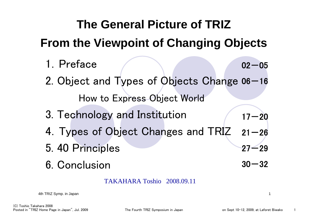#### **The General Picture of TRIZ From the Viewpoint of Changing Objects** 1.Preface2. Object and Types of Objects Change 06–16 How to Express Object World 3. Technology and Institution 4.Types of Object Changes and TRIZ 5. 40 Principles 6. Conclusion $02 - 05$ 17-20  $21 - 26$  $27 - 29$  $30\!-\!32$

TAKAHARA Toshio 2008.09.11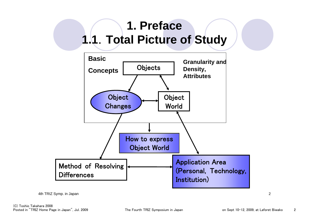## **1. Preface1.1**.**Total Picture of Study**



4th TRIZ Symp. in Japan 2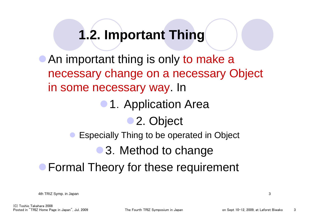## **1.2. Important Thing**

• An important thing is only to make a necessary change on a necessary Object in some necessary way. In

• 1. Application Area

• 2. Object

**• Especially Thing to be operated in Object** 

• 3. Method to change

**• Formal Theory for these requirement**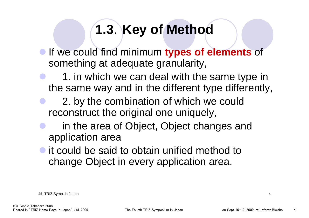# **1.3**.**Key of Method**

- **If we could find minimum types of elements** of something at adequate granularity,
- $\bullet$  1. in which we can deal with the same type in the same way and in the different type differently,
- $\bullet$  2. by the combination of which we could reconstruct the original one uniquely,
- $\bullet$  in the area of Object, Object changes and application area
- $\bullet$  it could be said to obtain unified method to change Object in every application area.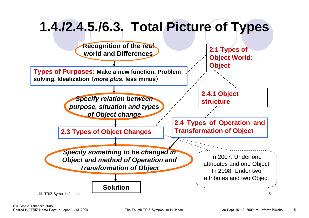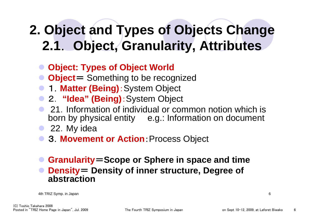# **2. Object and Types of Objects Change 2.1**. **Object, Granularity, Attributes**

- $\bullet$ **Object: Types of Object World**
- $\bullet$ **Object**= Something to be recognized
- **1. Matter (Being)**: System Object
- 2. **"Idea" (Being)**:System Object
- $\bullet$  21.Information of individual or common notion which is born by physical entity e.g.: Information on document
- $\bullet$ 22.My idea
- **2. Movement or Action: Process Object**
- $\bullet$  **Granularity**=**Scope or Sphere in space and time**   $\bullet$  **Density**<sup>=</sup> **Density of inner structure, Degree of abstraction**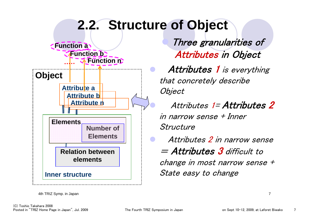

4th TRIZ Symp. in Japan 7

 Three granularities of Attributes in Object

Attributes 1 is everything that concretely describe **Object** 

 Attributes 1= Attributes 2 in narrow sense + Inner Structure

 Attributes 2 in narrow sense = Attributes 3 difficult to change in most narrow sense + State easy to change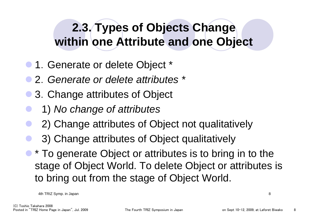## **2.3. Types of Objects Change within one Attribute and one Object**

- 1. Generate or delete Object \*
- z 2.*Generate or delete attributes \**
- $\bullet$ 3.Change attributes of Object
- $\bullet$ 1) *No change of attributes*
- $\bullet$ 2) Change attributes of Object not qualitatively
- $\bullet$ 3) Change attributes of Object qualitatively
- $\bullet$  \* To generate Object or attributes is to bring in to the stage of Object World. To delete Object or attributes is to bring out from the stage of Object World.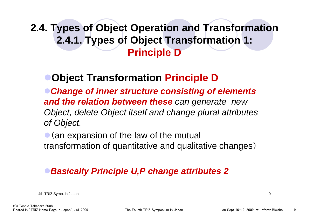#### **2.4. Types of Object Operation and Transformation 2.4.1. Types of Object Transformation 1: Principle D**

#### <sup>z</sup>**Object Transformation Principle D**

<sup>z</sup>*Change of inner structure consisting of elements and the relation between these can generate new Object, delete Object itself and change plural attributes of Object.* 

 $\bullet$  (an expansion of the law of the mutual transformation of quantitative and qualitative changes)

#### <sup>z</sup>*Basically Principle U,P change attributes 2*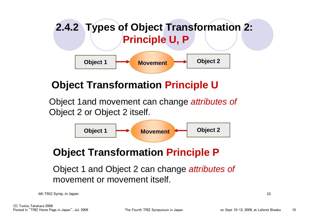

#### **Object Transformation Principle U**

Object 1and movement can change *attributes of*  Object 2 or Object 2 itself.



#### **Object Transformation Principle P**

Object 1 and Object 2 can change *attributes of*  movement or movement itself.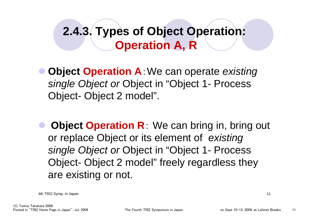## **2.4.3. Types of Object Operation: Operation A, R**

- $\bullet$  **Object Operation A**:We can operate *existing single Object or* Object in "Object 1- Process Object- Object 2 model".
- $\bullet$  **Object Operation R**: We can bring in, bring out or replace Object or its element of *existing single Object or* Object in "Object 1- Process Object- Object 2 model" freely regardless they are existing or not.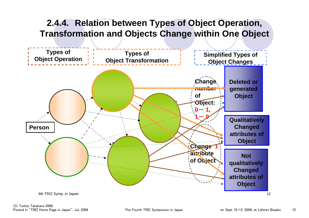#### **2.4.4. Relation between Types of Object Operation, Transformation and Objects Change within One Object**

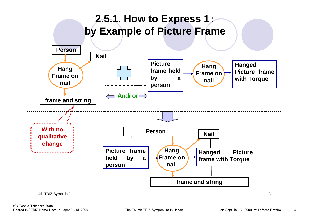#### **2.5.1. How to Express 1**: **by Example of Picture Frame**

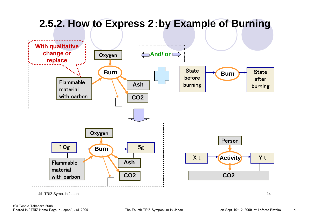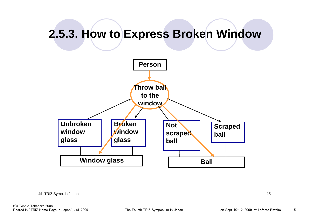### **2.5.3. How to Express Broken Window**



4th TRIZ Symp. in Japan 15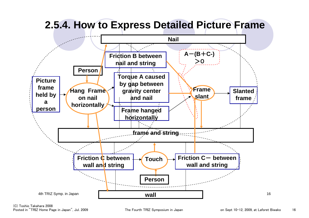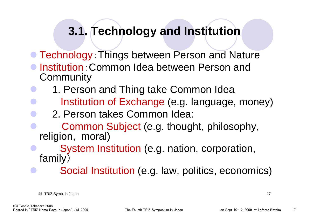### **3.1. Technology and Institution**

- **Technology: Things between Person and Nature**
- **Institution: Common Idea between Person and Community**
- $\bullet$ 1. Person and Thing take Common Idea
- $\bullet$ Institution of Exchange (e.g. language, money)
- $\bullet$ 2. Person takes Common Idea:
- $\bullet$  Common Subject (e.g. thought, philosophy, religion, moral)
- $\bullet$  System Institution (e.g. nation, corporation, family)
	- Social Institution (e.g. law, politics, economics)

4th TRIZ Symp. in Japan 17

 $\bullet$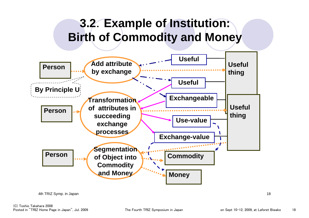### **3.2**.**Example of Institution: Birth of Commodity and Money**

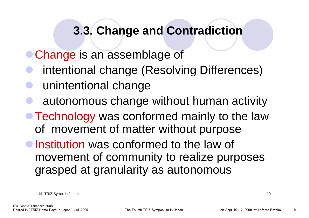#### **3.3. Change and Contradiction**

- **Change is an assemblage of**
- $\bullet$ intentional change (Resolving Differences)
- $\bullet$ unintentional change
- $\bullet$ autonomous change without human activity
- Technology was conformed mainly to the law of movement of matter without purpose
- **Institution was conformed to the law of** movement of community to realize purposes grasped at granularity as autonomous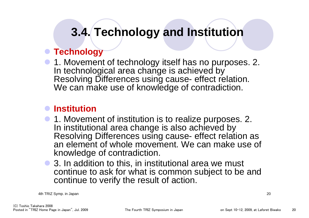## **3.4. Technology and Institution**

#### **• Technology**

**• 1. Movement of technology itself has no purposes. 2.** In technological area change is achieved by Resolving Differences using cause- effect relation. We can make use of knowledge of contradiction.

#### $\bullet$  **Institution**

- **1. Movement of institution is to realize purposes. 2.** In institutional area change is also achieved by Resolving Differences using cause- effect relation as an element of whole movement. We can make use of knowledge of contradiction.
- $\bullet$  3. In addition to this, in institutional area we must continue to ask for what is common subject to be and continue to verify the result of action.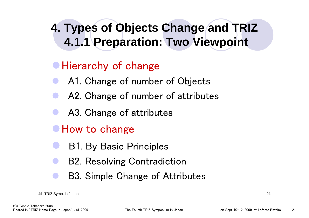## **4. Types of Objects Change and TRIZ 4.1.1 Preparation: Two Viewpoint**

#### • Hierarchy of change

- $\bullet$ A1. Change of number of Objects
- $\bullet$ A2. Change of number of attributes
- $\bullet$ A3. Change of attributes
- How to change
- $\bullet$ B1. By Basic Principles
- $\bullet$ B2. Resolving Contradiction
- $\bullet$ B3. Simple Change of Attributes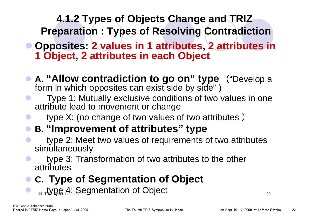# **4.1.2 Types of Objects Change and TRIZ**

**Preparation : Types of Resolving Contradiction**

- z **Opposites: 2 values in 1 attributes, 2 attributes in 1 Object, 2 attributes in each Object**
- z **A. "Allow contradiction to go on" type** ("Develop a form in which opposites can exist side by side" )
- Type 1: Mutually exclusive conditions of two values in one attribute lead to movement or change
	- type X: (no change of two values of two attributes )
- z **B. "Improvement of attributes" type**
- type 2: Meet two values of requirements of two attributes simultaneously
- type 3: Transformation of two attributes to the other attributes

#### $\bullet$ **C. Type of Segmentation of Object**

 $\bullet$   $\mathcal{A}_{\text{th}}$  type  $\mathcal{A}_{\text{in}}$ . Segmentation of Object  $\bullet$ 

 $\bullet$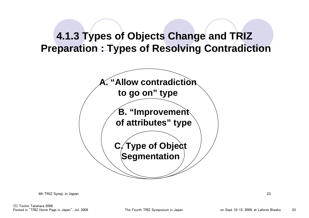#### **4.1.3 Types of Objects Change and TRIZ Preparation : Types of Resolving Contradiction**

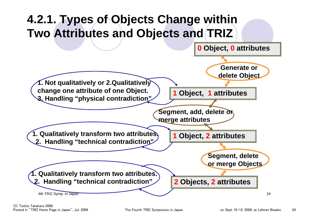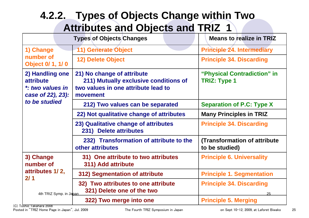#### 4th TRIZ Symp. in Japan 25 **PO COLOURS ONCE ON A CONCRETE CONTROL 4.2.2. Types of Objects Change within Two Attributes and Objects and TRIZ 1 322) Two merge into one Principle 5. Merging 32) Two attributes to one attribute Principle 34. Discarding 321) Delete one of the two 312) Segmentation of attribute Principle 1. Segmentation 31) One attribute to two attributes Principle 6. Universality 311) Add attribute 3) Change number of attributes 1/ 2, 2/ 1(Transformation of attribute to be studied) 232) Transformation of attribute to the other attributes23) Qualitative change of attributes Principle 34. Discarding 231) Delete attributes 22) Not qualitative change of attributes | Many Principles in TRIZ 212) Two values can be separated Separation of P.C: Type X "Physical Contradiction" in TRIZ: Type 1 21) No change of attribute 211) Mutually exclusive conditions of two values in one attribute lead to movement2) Handling one attribute** *\*: two values in case of 22), 23): to be studied***12) Delete Object Principle 34. Discarding** 1) Change 11 | 11 | Generate Object **Principle 24. Intermediary number of Object 0/ 1, 1/ 0 Types of Objects Changes Means to realize in TRIZ**

(C) Toshio Takahara 2008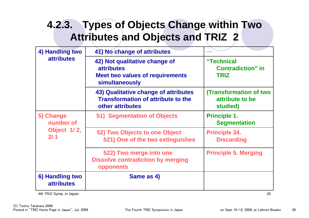#### **4.2.3. Types of Objects Change within Two Attributes and Objects and TRIZ 2**

| 4) Handling two<br><b>attributes</b>         | 41) No change of attributes                                                                                    |                                                              |
|----------------------------------------------|----------------------------------------------------------------------------------------------------------------|--------------------------------------------------------------|
|                                              | 42) Not qualitative change of<br><b>attributes</b><br><b>Meet two values of requirements</b><br>simultaneously | "Technical<br><b>Contradiction</b> " in<br><b>TRIZ</b>       |
|                                              | 43) Qualitative change of attributes<br><b>Transformation of attribute to the</b><br>other attributes          | <b>(Transformation of two</b><br>attribute to be<br>studied) |
| 5) Change<br>number of<br>Object 1/2,<br>2/1 | 51) Segmentation of Objects                                                                                    | <b>Principle 1.</b><br><b>Segmentation</b>                   |
|                                              | 52) Two Objects to one Object<br>521) One of the two extinguishes                                              | <b>Principle 34.</b><br><b>Discarding</b>                    |
|                                              | 522) Two merge into one<br><b>Dissolve contradiction by merging</b><br>opponents                               | <b>Principle 5. Merging</b>                                  |
| 6) Handling two<br><b>attributes</b>         | Same as 4)                                                                                                     |                                                              |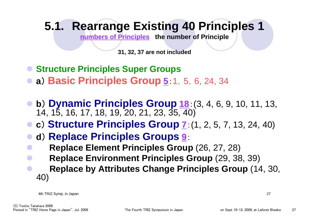## **5.1. Rearrange Existing 40 Principles 1**

**numbers of Principles the number of Principle**

**31, 32, 37 are not included**

- **Structure Principles Super Groups**
- $\bullet$ **<sup>a</sup>**) **Basic Principles Group <sup>5</sup>**:1,5,6, 24, 34
- $\bullet$  **<sup>b</sup>**) **Dynamic Principles Group <sup>18</sup>**:(3, 4, 6, 9, 10, 11, 13, 14, 15, 16, 17, 18, 19, 20, 21, 23, 35, 40)
- z **<sup>c</sup>**) **Structure Principles Group <sup>7</sup>**:(1, 2, 5, 7, 13, 24, 40)
- $\bullet$ **<sup>d</sup>**) **Replace Principles Groups <sup>9</sup>**:
- $\bullet$ **Replace Element Principles Group** (26, 27, 28)
- $\bullet$ **Replace Environment Principles Group** (29, 38, 39)
- $\bullet$  **Replace by Attributes Change Principles Group** (14, 30, 40)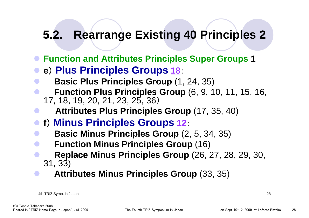### **5.2. Rearrange Existing 40 Principles 2**

- z **Function and Attributes Principles Super Groups 1**
- $\bullet$ **<sup>e</sup>**) **Plus Principles Groups <sup>18</sup>**:
- $\bullet$ **Basic Plus Principles Group** (1, 24, 35)
- $\bullet$  **Function Plus Principles Group** (6, 9, 10, 11, 15, 16, 17, 18, 19, 20, 21, 23, 25, 36)
- $\bullet$ **Attributes Plus Principles Group** (17, 35, 40)
- z **<sup>f</sup>**) **Minus Principles Groups <sup>12</sup>**:
- $\bullet$ **Basic Minus Principles Group** (2, 5, 34, 35)
- $\bullet$ **Function Minus Principles Group** (16)
- $\bullet$  **Replace Minus Principles Group** (26, 27, 28, 29, 30, 31, 33)
- $\bullet$ **Attributes Minus Principles Group** (33, 35)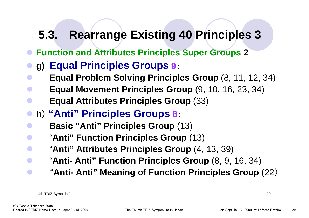### **5.3. Rearrange Existing 40 Principles 3**

- z **Function and Attributes Principles Super Groups 2**
- $\bullet$ **g) Equal Principles Groups <sup>9</sup>**:
- **Equal Problem Solving Principles Group** (8, 11, 12, 34)
- $\bullet$ **Equal Movement Principles Group** (9, 10, 16, 23, 34)
- $\bullet$ **Equal Attributes Principles Group** (33)
- $\bullet$ **<sup>h</sup>**) **"Anti" Principles Groups <sup>8</sup>**:
- $\bullet$ **Basic "Anti" Principles Group** (13)
- $\bullet$ "**Anti" Function Principles Group** (13)
- "**Anti" Attributes Principles Group** (4, 13, 39)
	- "**Anti- Anti" Function Principles Group** (8, 9, 16, 34)
- $\bullet$ "**Anti- Anti" Meaning of Function Principles Group** (22)

 $\bullet$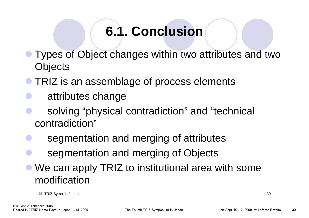# **6.1. Conclusion**

- $\bullet$  Types of Object changes within two attributes and two **Objects**
- $\bullet$ TRIZ is an assemblage of process elements
- $\bullet$ attributes change
- $\bullet$  solving "physical contradiction" and "technical contradiction"
- $\bullet$ segmentation and merging of attributes
- $\bullet$ segmentation and merging of Objects
- $\bullet$ We can apply TRIZ to institutional area with some modification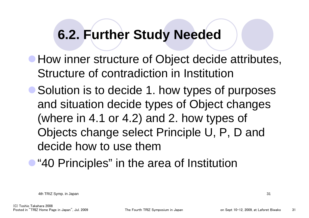## **6.2. Further Study Needed**

- **How inner structure of Object decide attributes,** Structure of contradiction in Institution
- Solution is to decide 1. how types of purposes and situation decide types of Object changes (where in 4.1 or 4.2) and 2. how types of Objects change select Principle U, P, D and decide how to use them
- **"40 Principles" in the area of Institution**